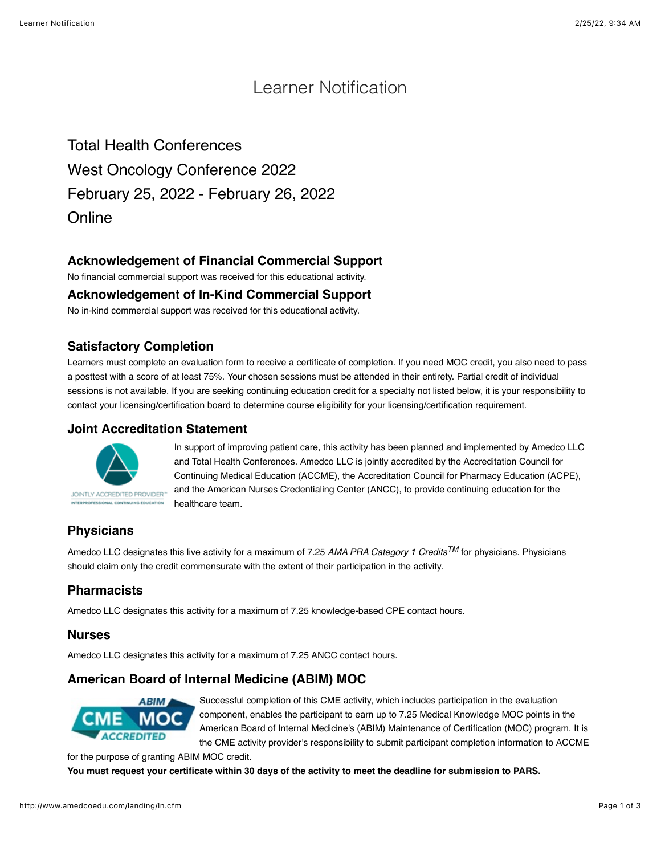# Learner Notification

Total Health Conferences West Oncology Conference 2022 February 25, 2022 - February 26, 2022 **Online** 

## **Acknowledgement of Financial Commercial Support**

No financial commercial support was received for this educational activity.

#### **Acknowledgement of In-Kind Commercial Support**

No in-kind commercial support was received for this educational activity.

#### **Satisfactory Completion**

Learners must complete an evaluation form to receive a certificate of completion. If you need MOC credit, you also need to pass a posttest with a score of at least 75%. Your chosen sessions must be attended in their entirety. Partial credit of individual sessions is not available. If you are seeking continuing education credit for a specialty not listed below, it is your responsibility to contact your licensing/certification board to determine course eligibility for your licensing/certification requirement.

#### **Joint Accreditation Statement**



In support of improving patient care, this activity has been planned and implemented by Amedco LLC and Total Health Conferences. Amedco LLC is jointly accredited by the Accreditation Council for Continuing Medical Education (ACCME), the Accreditation Council for Pharmacy Education (ACPE), and the American Nurses Credentialing Center (ANCC), to provide continuing education for the healthcare team.

# **Physicians**

Amedco LLC designates this live activity for a maximum of 7.25 *AMA PRA Category 1 CreditsTM* for physicians. Physicians should claim only the credit commensurate with the extent of their participation in the activity.

## **Pharmacists**

Amedco LLC designates this activity for a maximum of 7.25 knowledge-based CPE contact hours.

#### **Nurses**

Amedco LLC designates this activity for a maximum of 7.25 ANCC contact hours.

# **American Board of Internal Medicine (ABIM) MOC**



Successful completion of this CME activity, which includes participation in the evaluation component, enables the participant to earn up to 7.25 Medical Knowledge MOC points in the American Board of Internal Medicine's (ABIM) Maintenance of Certification (MOC) program. It is the CME activity provider's responsibility to submit participant completion information to ACCME

for the purpose of granting ABIM MOC credit.

**You must request your certificate within 30 days of the activity to meet the deadline for submission to PARS.**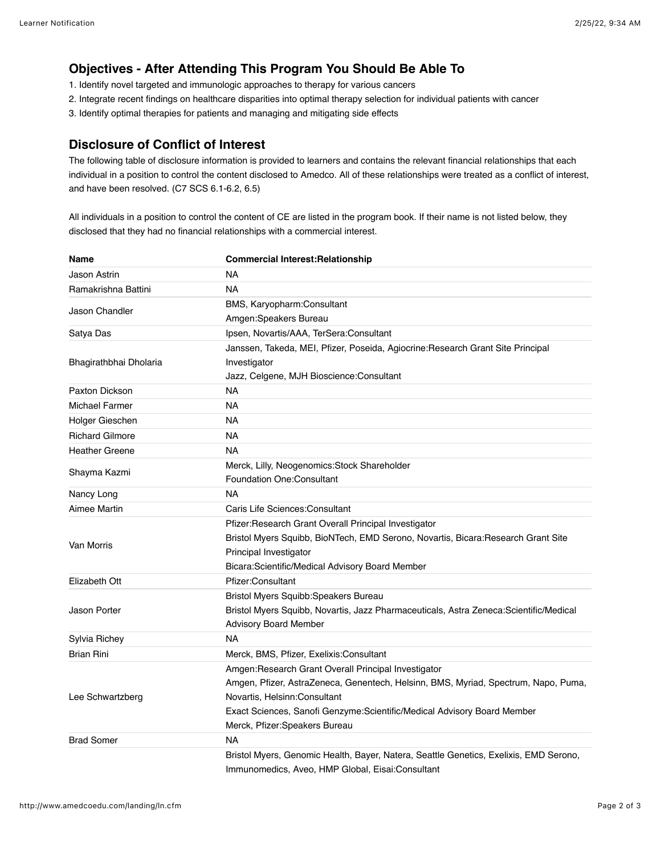## **Objectives - After Attending This Program You Should Be Able To**

- 1. Identify novel targeted and immunologic approaches to therapy for various cancers
- 2. Integrate recent findings on healthcare disparities into optimal therapy selection for individual patients with cancer
- 3. Identify optimal therapies for patients and managing and mitigating side effects

#### **Disclosure of Conflict of Interest**

The following table of disclosure information is provided to learners and contains the relevant financial relationships that each individual in a position to control the content disclosed to Amedco. All of these relationships were treated as a conflict of interest, and have been resolved. (C7 SCS 6.1-6.2, 6.5)

All individuals in a position to control the content of CE are listed in the program book. If their name is not listed below, they disclosed that they had no financial relationships with a commercial interest.

| <b>Name</b>            | <b>Commercial Interest: Relationship</b>                                              |
|------------------------|---------------------------------------------------------------------------------------|
| Jason Astrin           | <b>NA</b>                                                                             |
| Ramakrishna Battini    | <b>NA</b>                                                                             |
| Jason Chandler         | BMS, Karyopharm:Consultant                                                            |
|                        | Amgen:Speakers Bureau                                                                 |
| Satya Das              | Ipsen, Novartis/AAA, TerSera:Consultant                                               |
| Bhagirathbhai Dholaria | Janssen, Takeda, MEI, Pfizer, Poseida, Agiocrine: Research Grant Site Principal       |
|                        | Investigator                                                                          |
|                        | Jazz, Celgene, MJH Bioscience: Consultant                                             |
| Paxton Dickson         | <b>NA</b>                                                                             |
| <b>Michael Farmer</b>  | <b>NA</b>                                                                             |
| Holger Gieschen        | <b>NA</b>                                                                             |
| <b>Richard Gilmore</b> | <b>NA</b>                                                                             |
| <b>Heather Greene</b>  | <b>NA</b>                                                                             |
| Shayma Kazmi           | Merck, Lilly, Neogenomics: Stock Shareholder                                          |
|                        | <b>Foundation One: Consultant</b>                                                     |
| Nancy Long             | <b>NA</b>                                                                             |
| Aimee Martin           | Caris Life Sciences: Consultant                                                       |
| Van Morris             | Pfizer:Research Grant Overall Principal Investigator                                  |
|                        | Bristol Myers Squibb, BioNTech, EMD Serono, Novartis, Bicara:Research Grant Site      |
|                        | Principal Investigator                                                                |
|                        | Bicara:Scientific/Medical Advisory Board Member                                       |
| Elizabeth Ott          | Pfizer:Consultant                                                                     |
| Jason Porter           | Bristol Myers Squibb: Speakers Bureau                                                 |
|                        | Bristol Myers Squibb, Novartis, Jazz Pharmaceuticals, Astra Zeneca:Scientific/Medical |
|                        | <b>Advisory Board Member</b>                                                          |
| Sylvia Richey          | <b>NA</b>                                                                             |
| <b>Brian Rini</b>      | Merck, BMS, Pfizer, Exelixis:Consultant                                               |
| Lee Schwartzberg       | Amgen:Research Grant Overall Principal Investigator                                   |
|                        | Amgen, Pfizer, AstraZeneca, Genentech, Helsinn, BMS, Myriad, Spectrum, Napo, Puma,    |
|                        | Novartis, Helsinn:Consultant                                                          |
|                        | Exact Sciences, Sanofi Genzyme: Scientific/Medical Advisory Board Member              |
|                        | Merck, Pfizer:Speakers Bureau                                                         |
| <b>Brad Somer</b>      | <b>NA</b>                                                                             |
|                        | Bristol Myers, Genomic Health, Bayer, Natera, Seattle Genetics, Exelixis, EMD Serono, |
|                        | Immunomedics, Aveo, HMP Global, Eisai:Consultant                                      |